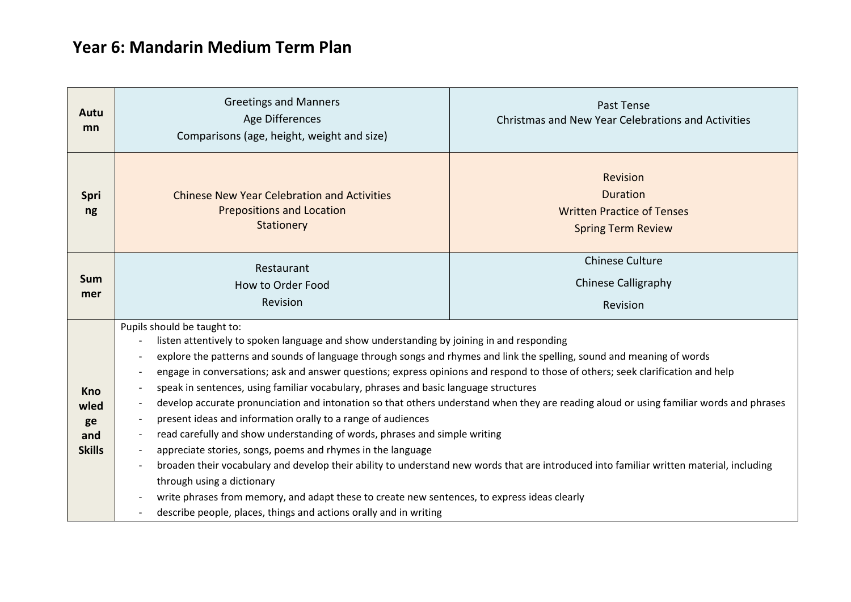## **Year 6: Mandarin Medium Term Plan**

| Autu<br>mn                                       | <b>Greetings and Manners</b><br>Age Differences<br>Comparisons (age, height, weight and size)                                                                                                                                                                                                                                                                                                                                                                                                                                                                                                                                                                                                                                                                                                                                                                                                                                                                                                                                                                                                                                                                                                                                                                                                        | Past Tense<br><b>Christmas and New Year Celebrations and Activities</b>                       |
|--------------------------------------------------|------------------------------------------------------------------------------------------------------------------------------------------------------------------------------------------------------------------------------------------------------------------------------------------------------------------------------------------------------------------------------------------------------------------------------------------------------------------------------------------------------------------------------------------------------------------------------------------------------------------------------------------------------------------------------------------------------------------------------------------------------------------------------------------------------------------------------------------------------------------------------------------------------------------------------------------------------------------------------------------------------------------------------------------------------------------------------------------------------------------------------------------------------------------------------------------------------------------------------------------------------------------------------------------------------|-----------------------------------------------------------------------------------------------|
| Spri<br>ng                                       | <b>Chinese New Year Celebration and Activities</b><br><b>Prepositions and Location</b><br>Stationery                                                                                                                                                                                                                                                                                                                                                                                                                                                                                                                                                                                                                                                                                                                                                                                                                                                                                                                                                                                                                                                                                                                                                                                                 | Revision<br><b>Duration</b><br><b>Written Practice of Tenses</b><br><b>Spring Term Review</b> |
| Sum<br>mer                                       | Restaurant<br>How to Order Food<br>Revision                                                                                                                                                                                                                                                                                                                                                                                                                                                                                                                                                                                                                                                                                                                                                                                                                                                                                                                                                                                                                                                                                                                                                                                                                                                          | <b>Chinese Culture</b><br><b>Chinese Calligraphy</b><br>Revision                              |
| <b>Kno</b><br>wled<br>ge<br>and<br><b>Skills</b> | Pupils should be taught to:<br>listen attentively to spoken language and show understanding by joining in and responding<br>explore the patterns and sounds of language through songs and rhymes and link the spelling, sound and meaning of words<br>$\overline{\phantom{a}}$<br>engage in conversations; ask and answer questions; express opinions and respond to those of others; seek clarification and help<br>speak in sentences, using familiar vocabulary, phrases and basic language structures<br>$\overline{\phantom{a}}$<br>develop accurate pronunciation and intonation so that others understand when they are reading aloud or using familiar words and phrases<br>$\overline{\phantom{a}}$<br>present ideas and information orally to a range of audiences<br>read carefully and show understanding of words, phrases and simple writing<br>$\overline{\phantom{a}}$<br>appreciate stories, songs, poems and rhymes in the language<br>broaden their vocabulary and develop their ability to understand new words that are introduced into familiar written material, including<br>through using a dictionary<br>write phrases from memory, and adapt these to create new sentences, to express ideas clearly<br>describe people, places, things and actions orally and in writing |                                                                                               |